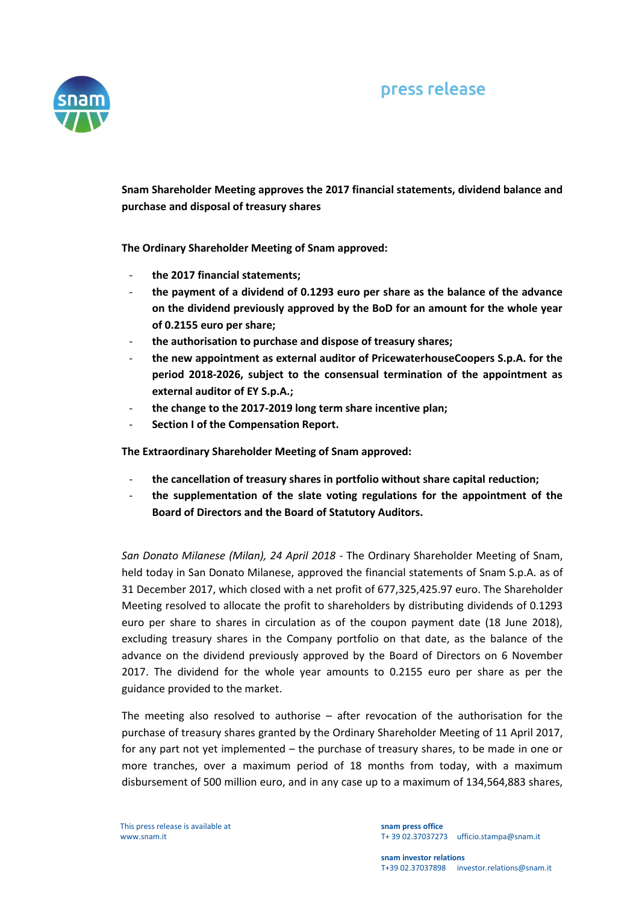

**Snam Shareholder Meeting approves the 2017 financial statements, dividend balance and purchase and disposal of treasury shares**

**The Ordinary Shareholder Meeting of Snam approved:**

- **the 2017 financial statements;**
- **the payment of a dividend of 0.1293 euro per share as the balance of the advance on the dividend previously approved by the BoD for an amount for the whole year of 0.2155 euro per share;**
- **the authorisation to purchase and dispose of treasury shares;**
- **the new appointment as external auditor of PricewaterhouseCoopers S.p.A. for the period 2018-2026, subject to the consensual termination of the appointment as external auditor of EY S.p.A.;**
- **the change to the 2017-2019 long term share incentive plan;**
- **Section I of the Compensation Report.**

**The Extraordinary Shareholder Meeting of Snam approved:** 

- **the cancellation of treasury shares in portfolio without share capital reduction;**
- **the supplementation of the slate voting regulations for the appointment of the Board of Directors and the Board of Statutory Auditors.**

*San Donato Milanese (Milan), 24 April 2018 -* The Ordinary Shareholder Meeting of Snam, held today in San Donato Milanese, approved the financial statements of Snam S.p.A. as of 31 December 2017, which closed with a net profit of 677,325,425.97 euro. The Shareholder Meeting resolved to allocate the profit to shareholders by distributing dividends of 0.1293 euro per share to shares in circulation as of the coupon payment date (18 June 2018), excluding treasury shares in the Company portfolio on that date, as the balance of the advance on the dividend previously approved by the Board of Directors on 6 November 2017. The dividend for the whole year amounts to 0.2155 euro per share as per the guidance provided to the market.

The meeting also resolved to authorise – after revocation of the authorisation for the purchase of treasury shares granted by the Ordinary Shareholder Meeting of 11 April 2017, for any part not yet implemented – the purchase of treasury shares, to be made in one or more tranches, over a maximum period of 18 months from today, with a maximum disbursement of 500 million euro, and in any case up to a maximum of 134,564,883 shares,

This press release is available at www.snam.it

**snam press office** T+ 39 02.37037273 ufficio.stampa@snam.it